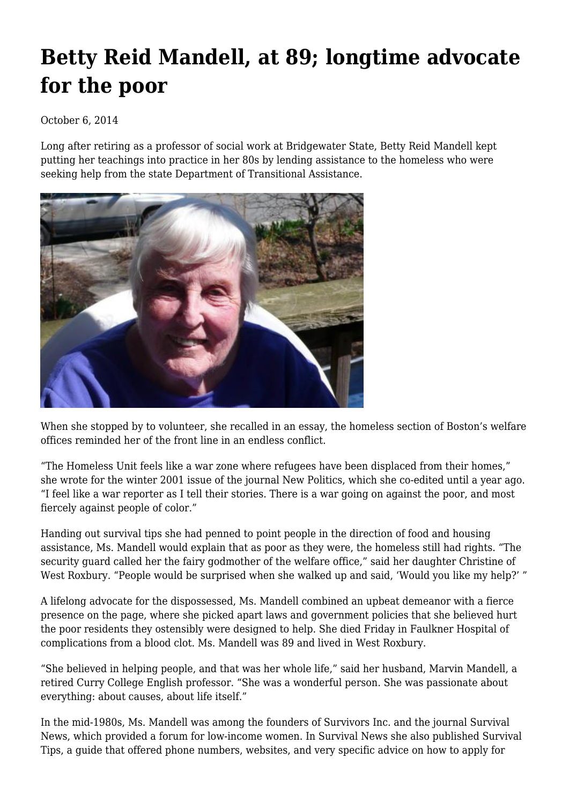## **[Betty Reid Mandell, at 89; longtime advocate](https://newpol.org/betty-reid-mandell-89-longtime-advocate-poor-0/) [for the poor](https://newpol.org/betty-reid-mandell-89-longtime-advocate-poor-0/)**

## October 6, 2014

Long after retiring as a professor of social work at Bridgewater State, Betty Reid Mandell kept putting her teachings into practice in her 80s by lending assistance to the homeless who were seeking help from the state Department of Transitional Assistance.



When she stopped by to volunteer, she recalled in an essay, the homeless section of Boston's welfare offices reminded her of the front line in an endless conflict.

"The Homeless Unit feels like a war zone where refugees have been displaced from their homes," she wrote for the [winter 2001](http://nova.wpunj.edu/newpolitics/issue30/mandel30.htm) issue of the journal New Politics, which she co-edited until a year ago. "I feel like a war reporter as I tell their stories. There is a war going on against the poor, and most fiercely against people of color."

Handing out survival tips she had penned to point people in the direction of food and housing assistance, Ms. Mandell would explain that as poor as they were, the homeless still had rights. "The security guard called her the fairy godmother of the welfare office," said her daughter Christine of West Roxbury. "People would be surprised when she walked up and said, 'Would you like my help?' "

A lifelong advocate for the dispossessed, [Ms. Mandell](http://www.naswfoundation.org/pioneers/m/BettyReidMandell.htm) combined an upbeat demeanor with a fierce presence on the page, where [she picked apart](http://nova.wpunj.edu/newpolitics/issue32/mandel32.htm) laws and government policies that she believed hurt the poor residents they ostensibly were designed to help. She died Friday in Faulkner Hospital of complications from a blood clot. Ms. Mandell was 89 and lived in West Roxbury.

"She believed in helping people, and that was her whole life," said her husband, Marvin Mandell, a retired Curry College English professor. "She was a wonderful person. She was passionate about everything: about causes, about life itself."

In the mid-1980s, Ms. Mandell was [among the founders](http://asteria.fivecolleges.edu/findaids/sophiasmith/mnsss552.html) of Survivors Inc. and the journal [Survival](http://survivorsinc.org/SurvivalNews-v25n1.pdf) [News,](http://survivorsinc.org/SurvivalNews-v25n1.pdf) which provided a forum for low-income women. In Survival News she also published [Survival](http://survivorsinc.org/SurvivalNews-v25n1.pdf) [Tips,](http://survivorsinc.org/SurvivalNews-v25n1.pdf) a guide that offered phone numbers, websites, and very specific advice on how to apply for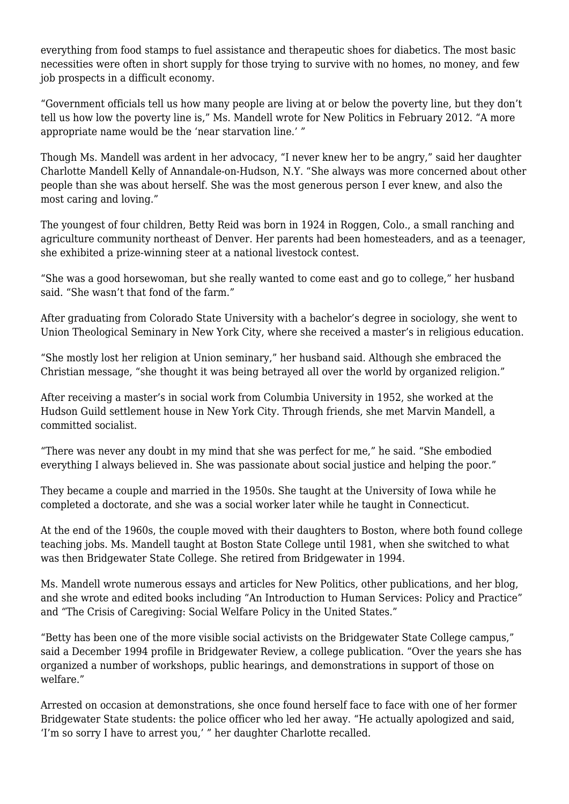everything from food stamps to fuel assistance and therapeutic shoes for diabetics. The most basic necessities were often in short supply for those trying to survive with no homes, no money, and few job prospects in a difficult economy.

"Government officials tell us how many people are living at or below the poverty line, but they don't tell us how low the poverty line is," Ms. Mandell wrote for New Politics in [February 2012.](http://newpol.orgpoor-poverty-line) "A more appropriate name would be the 'near starvation line.' "

Though Ms. Mandell was ardent in her advocacy, "I never knew her to be angry," said her daughter Charlotte Mandell Kelly of Annandale-on-Hudson, N.Y. "She always was more concerned about other people than she was about herself. She was the most generous person I ever knew, and also the most caring and loving."

The youngest of four children, Betty Reid was born in 1924 in Roggen, Colo., a small ranching and agriculture community northeast of Denver. Her parents had been homesteaders, and as a teenager, she exhibited a prize-winning steer at a national livestock contest.

"She was a good horsewoman, but she really wanted to come east and go to college," her husband said. "She wasn't that fond of the farm."

After graduating from Colorado State University with a bachelor's degree in sociology, she went to Union Theological Seminary in New York City, where she received a master's in religious education.

"She mostly lost her religion at Union seminary," her husband said. Although she embraced the Christian message, "she thought it was being betrayed all over the world by organized religion."

After receiving a master's in social work from Columbia University in 1952, she worked at the Hudson Guild settlement house in New York City. Through friends, she met Marvin Mandell, a committed socialist.

"There was never any doubt in my mind that she was perfect for me," he said. "She embodied everything I always believed in. She was passionate about social justice and helping the poor."

They became a couple and married in the 1950s. She taught at the University of Iowa while he completed a doctorate, and she was a social worker later while he taught in Connecticut.

At the end of the 1960s, the couple moved with their daughters to Boston, where both found college teaching jobs. Ms. Mandell taught at Boston State College until 1981, when she switched to what was then Bridgewater State College. She retired from Bridgewater in 1994.

Ms. Mandell wrote numerous essays and articles for New Politics, other publications, and [her blog,](http://newpol.org/blog/7) and she wrote and edited books including "An Introduction to Human Services: Policy and Practice" and "The Crisis of Caregiving: Social Welfare Policy in the United States."

"Betty has been one of the more visible social activists on the Bridgewater State College campus," said a [December 1994 profile](http://vc.bridgew.edu/cgi/viewcontent.cgi?article=1559&context=br_rev) in Bridgewater Review, a college publication. "Over the years she has organized a number of workshops, public hearings, and demonstrations in support of those on welfare."

Arrested on occasion at demonstrations, she once found herself face to face with one of her former Bridgewater State students: the police officer who led her away. "He actually apologized and said, 'I'm so sorry I have to arrest you,' " her daughter Charlotte recalled.